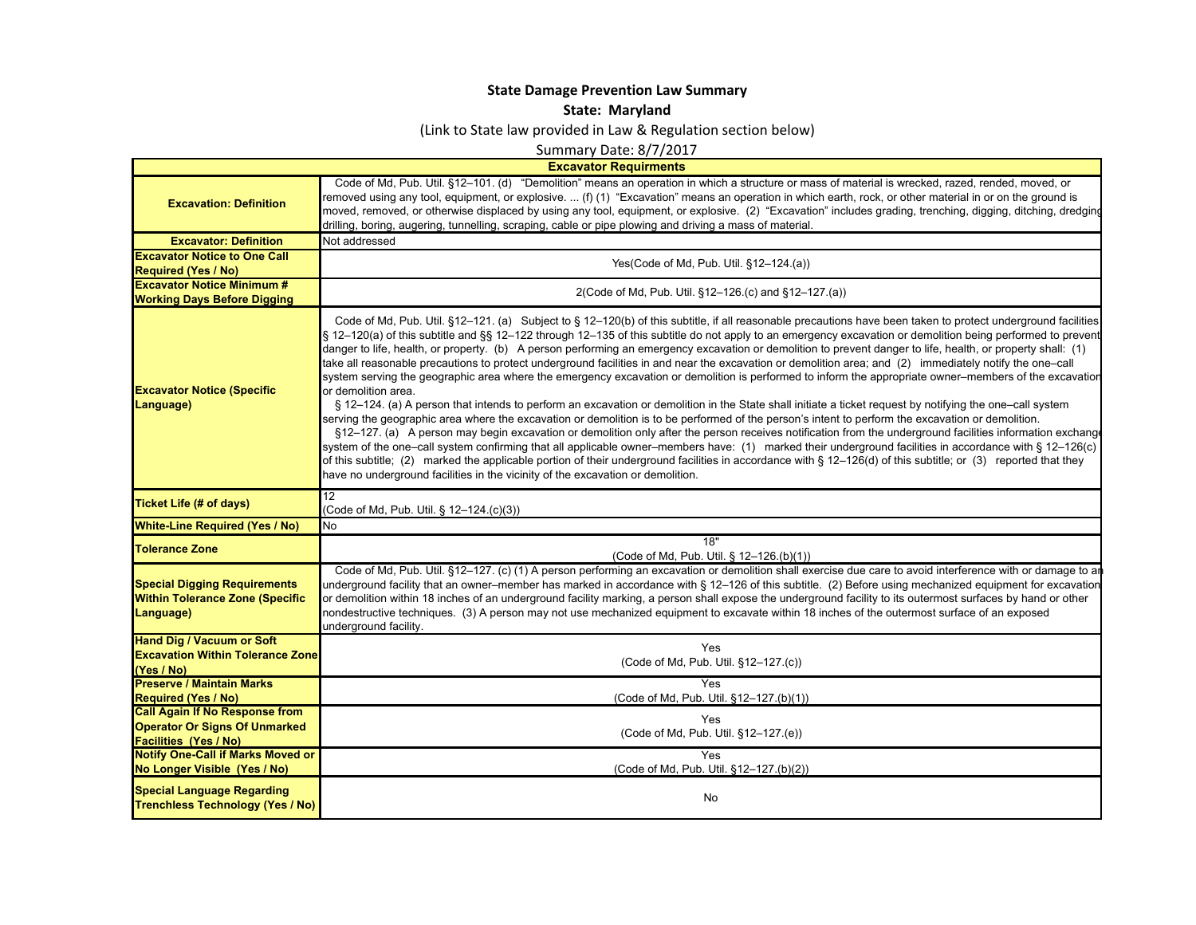## **State Damage Prevention Law Summary**

## **State: Maryland**

(Link to State law provided in Law & Regulation section below)

Summary Date: 8/7/2017

**Excavator Requirments**

 $\blacksquare$ 

| <b>Excavation: Definition</b>                                                                                 | Code of Md, Pub. Util. §12-101. (d) "Demolition" means an operation in which a structure or mass of material is wrecked, razed, rended, moved, or<br>removed using any tool, equipment, or explosive.  (f) (1) "Excavation" means an operation in which earth, rock, or other material in or on the ground is<br>moved, removed, or otherwise displaced by using any tool, equipment, or explosive. (2) "Excavation" includes grading, trenching, digging, ditching, dredging<br>drilling, boring, augering, tunnelling, scraping, cable or pipe plowing and driving a mass of material.                                                                                                                                                                                                                                                                                                                                                                                                                                                                                                                                                                                                                                                                                                                                                                                                                                                                                                                                                                                                                                                                                                                                              |
|---------------------------------------------------------------------------------------------------------------|---------------------------------------------------------------------------------------------------------------------------------------------------------------------------------------------------------------------------------------------------------------------------------------------------------------------------------------------------------------------------------------------------------------------------------------------------------------------------------------------------------------------------------------------------------------------------------------------------------------------------------------------------------------------------------------------------------------------------------------------------------------------------------------------------------------------------------------------------------------------------------------------------------------------------------------------------------------------------------------------------------------------------------------------------------------------------------------------------------------------------------------------------------------------------------------------------------------------------------------------------------------------------------------------------------------------------------------------------------------------------------------------------------------------------------------------------------------------------------------------------------------------------------------------------------------------------------------------------------------------------------------------------------------------------------------------------------------------------------------|
| <b>Excavator: Definition</b>                                                                                  | Not addressed                                                                                                                                                                                                                                                                                                                                                                                                                                                                                                                                                                                                                                                                                                                                                                                                                                                                                                                                                                                                                                                                                                                                                                                                                                                                                                                                                                                                                                                                                                                                                                                                                                                                                                                         |
| <b>Excavator Notice to One Call</b><br><b>Required (Yes / No)</b>                                             | Yes(Code of Md, Pub. Util. §12-124.(a))                                                                                                                                                                                                                                                                                                                                                                                                                                                                                                                                                                                                                                                                                                                                                                                                                                                                                                                                                                                                                                                                                                                                                                                                                                                                                                                                                                                                                                                                                                                                                                                                                                                                                               |
| <b>Excavator Notice Minimum #</b><br><b>Working Days Before Digging</b>                                       | 2(Code of Md, Pub. Util. §12-126.(c) and §12-127.(a))                                                                                                                                                                                                                                                                                                                                                                                                                                                                                                                                                                                                                                                                                                                                                                                                                                                                                                                                                                                                                                                                                                                                                                                                                                                                                                                                                                                                                                                                                                                                                                                                                                                                                 |
| <b>Excavator Notice (Specific</b><br>Language)                                                                | Code of Md, Pub. Util. §12-121. (a) Subject to §12-120(b) of this subtitle, if all reasonable precautions have been taken to protect underground facilities<br>§ 12-120(a) of this subtitle and §§ 12-122 through 12-135 of this subtitle do not apply to an emergency excavation or demolition being performed to prevent<br>danger to life, health, or property. (b) A person performing an emergency excavation or demolition to prevent danger to life, health, or property shall: (1)<br>take all reasonable precautions to protect underground facilities in and near the excavation or demolition area; and (2) immediately notify the one-call<br>system serving the geographic area where the emergency excavation or demolition is performed to inform the appropriate owner–members of the excavatior<br>or demolition area.<br>§ 12-124. (a) A person that intends to perform an excavation or demolition in the State shall initiate a ticket request by notifying the one–call system<br>serving the geographic area where the excavation or demolition is to be performed of the person's intent to perform the excavation or demolition.<br>§12–127. (a) A person may begin excavation or demolition only after the person receives notification from the underground facilities information exchange<br>system of the one-call system confirming that all applicable owner-members have: (1) marked their underground facilities in accordance with § 12–126(c)<br>of this subtitle; (2) marked the applicable portion of their underground facilities in accordance with § 12-126(d) of this subtitle; or (3) reported that they<br>have no underground facilities in the vicinity of the excavation or demolition. |
| <b>Ticket Life (# of days)</b>                                                                                | 12<br>(Code of Md, Pub. Util. § 12-124.(c)(3))                                                                                                                                                                                                                                                                                                                                                                                                                                                                                                                                                                                                                                                                                                                                                                                                                                                                                                                                                                                                                                                                                                                                                                                                                                                                                                                                                                                                                                                                                                                                                                                                                                                                                        |
| <b>White-Line Required (Yes / No)</b>                                                                         | No                                                                                                                                                                                                                                                                                                                                                                                                                                                                                                                                                                                                                                                                                                                                                                                                                                                                                                                                                                                                                                                                                                                                                                                                                                                                                                                                                                                                                                                                                                                                                                                                                                                                                                                                    |
| <b>Tolerance Zone</b>                                                                                         | 18"<br>(Code of Md, Pub. Util. § 12-126.(b)(1))                                                                                                                                                                                                                                                                                                                                                                                                                                                                                                                                                                                                                                                                                                                                                                                                                                                                                                                                                                                                                                                                                                                                                                                                                                                                                                                                                                                                                                                                                                                                                                                                                                                                                       |
| <b>Special Digging Requirements</b><br><b>Within Tolerance Zone (Specific</b><br>Language)                    | Code of Md, Pub. Util. §12-127. (c) (1) A person performing an excavation or demolition shall exercise due care to avoid interference with or damage to a<br>underground facility that an owner–member has marked in accordance with § 12–126 of this subtitle. (2) Before using mechanized equipment for excavation<br>or demolition within 18 inches of an underground facility marking, a person shall expose the underground facility to its outermost surfaces by hand or other<br>nondestructive techniques. (3) A person may not use mechanized equipment to excavate within 18 inches of the outermost surface of an exposed<br>underground facility.                                                                                                                                                                                                                                                                                                                                                                                                                                                                                                                                                                                                                                                                                                                                                                                                                                                                                                                                                                                                                                                                         |
| <b>Hand Dig / Vacuum or Soft</b><br><b>Excavation Within Tolerance Zone</b><br>(Yes / No)                     | Yes<br>(Code of Md, Pub. Util. §12-127.(c))                                                                                                                                                                                                                                                                                                                                                                                                                                                                                                                                                                                                                                                                                                                                                                                                                                                                                                                                                                                                                                                                                                                                                                                                                                                                                                                                                                                                                                                                                                                                                                                                                                                                                           |
| <b>Preserve / Maintain Marks</b><br><b>Required (Yes / No)</b>                                                | Yes<br>(Code of Md, Pub. Util. §12-127.(b)(1))                                                                                                                                                                                                                                                                                                                                                                                                                                                                                                                                                                                                                                                                                                                                                                                                                                                                                                                                                                                                                                                                                                                                                                                                                                                                                                                                                                                                                                                                                                                                                                                                                                                                                        |
| <b>Call Again If No Response from</b><br><b>Operator Or Signs Of Unmarked</b><br><b>Facilities (Yes / No)</b> | Yes<br>(Code of Md, Pub. Util. §12-127.(e))                                                                                                                                                                                                                                                                                                                                                                                                                                                                                                                                                                                                                                                                                                                                                                                                                                                                                                                                                                                                                                                                                                                                                                                                                                                                                                                                                                                                                                                                                                                                                                                                                                                                                           |
| <b>Notify One-Call if Marks Moved or</b><br>No Longer Visible (Yes / No)                                      | Yes<br>(Code of Md, Pub. Util. §12-127.(b)(2))                                                                                                                                                                                                                                                                                                                                                                                                                                                                                                                                                                                                                                                                                                                                                                                                                                                                                                                                                                                                                                                                                                                                                                                                                                                                                                                                                                                                                                                                                                                                                                                                                                                                                        |
| <b>Special Language Regarding</b><br><b>Trenchless Technology (Yes / No)</b>                                  | No                                                                                                                                                                                                                                                                                                                                                                                                                                                                                                                                                                                                                                                                                                                                                                                                                                                                                                                                                                                                                                                                                                                                                                                                                                                                                                                                                                                                                                                                                                                                                                                                                                                                                                                                    |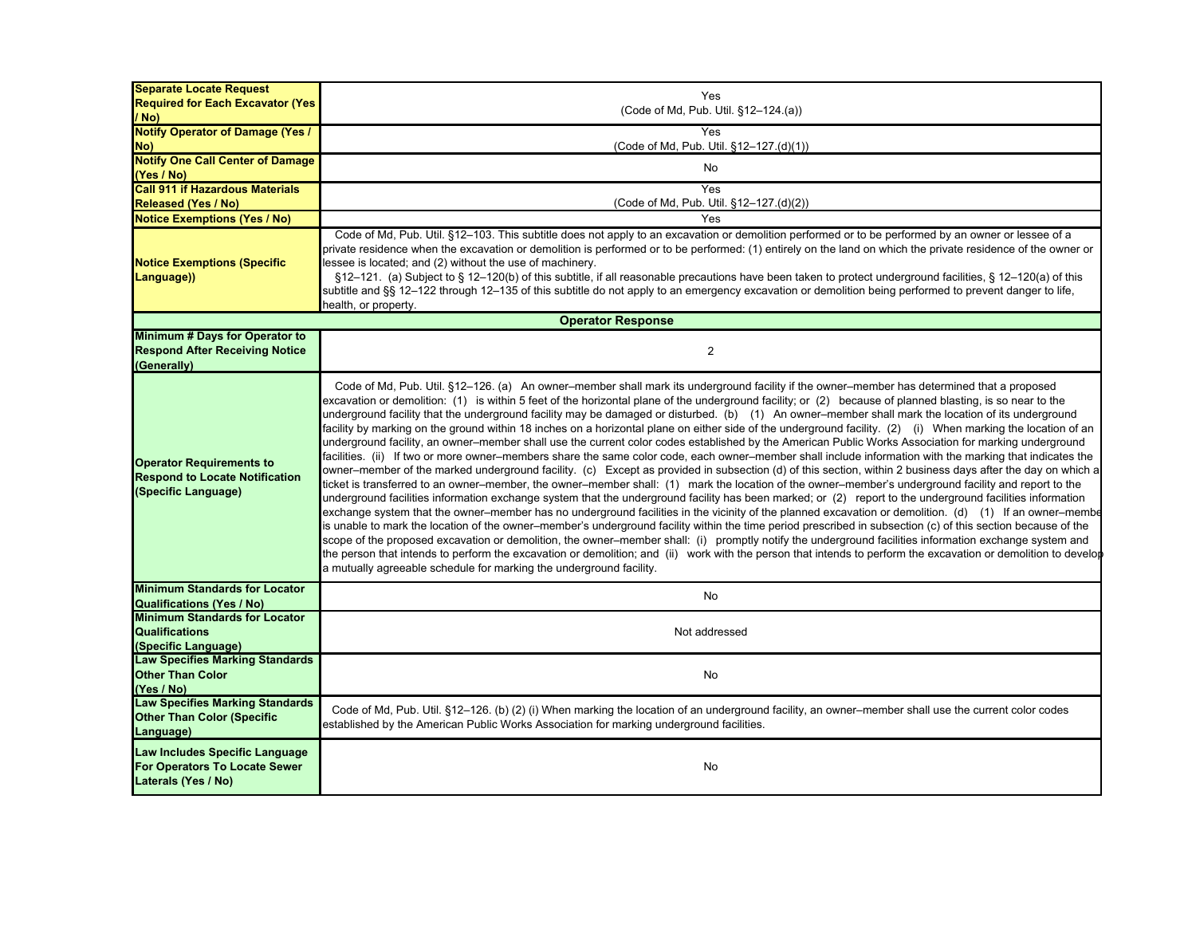| <b>Separate Locate Request</b><br><b>Required for Each Excavator (Yes)</b>                      | Yes                                                                                                                                                                                                                                                                                                                                                                                                                                                                                                                                                                                                                                                                                                                                                                                                                                                                                                                                                                                                                                                                                                                                                                                                                                                                                                                                                                                                                                                                                                                                                                                                                                                                                                                                                                                                                                                                                                                                                                                                                                                                                                                                                               |
|-------------------------------------------------------------------------------------------------|-------------------------------------------------------------------------------------------------------------------------------------------------------------------------------------------------------------------------------------------------------------------------------------------------------------------------------------------------------------------------------------------------------------------------------------------------------------------------------------------------------------------------------------------------------------------------------------------------------------------------------------------------------------------------------------------------------------------------------------------------------------------------------------------------------------------------------------------------------------------------------------------------------------------------------------------------------------------------------------------------------------------------------------------------------------------------------------------------------------------------------------------------------------------------------------------------------------------------------------------------------------------------------------------------------------------------------------------------------------------------------------------------------------------------------------------------------------------------------------------------------------------------------------------------------------------------------------------------------------------------------------------------------------------------------------------------------------------------------------------------------------------------------------------------------------------------------------------------------------------------------------------------------------------------------------------------------------------------------------------------------------------------------------------------------------------------------------------------------------------------------------------------------------------|
| / No)                                                                                           | (Code of Md, Pub. Util. §12-124.(a))                                                                                                                                                                                                                                                                                                                                                                                                                                                                                                                                                                                                                                                                                                                                                                                                                                                                                                                                                                                                                                                                                                                                                                                                                                                                                                                                                                                                                                                                                                                                                                                                                                                                                                                                                                                                                                                                                                                                                                                                                                                                                                                              |
| <b>Notify Operator of Damage (Yes /</b>                                                         | Yes                                                                                                                                                                                                                                                                                                                                                                                                                                                                                                                                                                                                                                                                                                                                                                                                                                                                                                                                                                                                                                                                                                                                                                                                                                                                                                                                                                                                                                                                                                                                                                                                                                                                                                                                                                                                                                                                                                                                                                                                                                                                                                                                                               |
| No)                                                                                             | (Code of Md, Pub. Util. §12-127.(d)(1))                                                                                                                                                                                                                                                                                                                                                                                                                                                                                                                                                                                                                                                                                                                                                                                                                                                                                                                                                                                                                                                                                                                                                                                                                                                                                                                                                                                                                                                                                                                                                                                                                                                                                                                                                                                                                                                                                                                                                                                                                                                                                                                           |
| <b>Notify One Call Center of Damage</b>                                                         | No                                                                                                                                                                                                                                                                                                                                                                                                                                                                                                                                                                                                                                                                                                                                                                                                                                                                                                                                                                                                                                                                                                                                                                                                                                                                                                                                                                                                                                                                                                                                                                                                                                                                                                                                                                                                                                                                                                                                                                                                                                                                                                                                                                |
| (Yes / No)                                                                                      |                                                                                                                                                                                                                                                                                                                                                                                                                                                                                                                                                                                                                                                                                                                                                                                                                                                                                                                                                                                                                                                                                                                                                                                                                                                                                                                                                                                                                                                                                                                                                                                                                                                                                                                                                                                                                                                                                                                                                                                                                                                                                                                                                                   |
| <b>Call 911 if Hazardous Materials</b>                                                          | Yes                                                                                                                                                                                                                                                                                                                                                                                                                                                                                                                                                                                                                                                                                                                                                                                                                                                                                                                                                                                                                                                                                                                                                                                                                                                                                                                                                                                                                                                                                                                                                                                                                                                                                                                                                                                                                                                                                                                                                                                                                                                                                                                                                               |
| <b>Released (Yes / No)</b><br><b>Notice Exemptions (Yes / No)</b>                               | (Code of Md, Pub. Util. §12–127.(d)(2))<br>Yes                                                                                                                                                                                                                                                                                                                                                                                                                                                                                                                                                                                                                                                                                                                                                                                                                                                                                                                                                                                                                                                                                                                                                                                                                                                                                                                                                                                                                                                                                                                                                                                                                                                                                                                                                                                                                                                                                                                                                                                                                                                                                                                    |
| <b>Notice Exemptions (Specific</b><br>Language))                                                | Code of Md, Pub. Util. §12-103. This subtitle does not apply to an excavation or demolition performed or to be performed by an owner or lessee of a<br>private residence when the excavation or demolition is performed or to be performed: (1) entirely on the land on which the private residence of the owner or<br>lessee is located; and (2) without the use of machinery.<br>§12-121. (a) Subject to § 12-120(b) of this subtitle, if all reasonable precautions have been taken to protect underground facilities, § 12-120(a) of this<br>subtitle and §§ 12–122 through 12–135 of this subtitle do not apply to an emergency excavation or demolition being performed to prevent danger to life,<br>health, or property.                                                                                                                                                                                                                                                                                                                                                                                                                                                                                                                                                                                                                                                                                                                                                                                                                                                                                                                                                                                                                                                                                                                                                                                                                                                                                                                                                                                                                                  |
|                                                                                                 | <b>Operator Response</b>                                                                                                                                                                                                                                                                                                                                                                                                                                                                                                                                                                                                                                                                                                                                                                                                                                                                                                                                                                                                                                                                                                                                                                                                                                                                                                                                                                                                                                                                                                                                                                                                                                                                                                                                                                                                                                                                                                                                                                                                                                                                                                                                          |
| Minimum # Days for Operator to<br><b>Respond After Receiving Notice</b><br>(Generally)          | $\overline{2}$                                                                                                                                                                                                                                                                                                                                                                                                                                                                                                                                                                                                                                                                                                                                                                                                                                                                                                                                                                                                                                                                                                                                                                                                                                                                                                                                                                                                                                                                                                                                                                                                                                                                                                                                                                                                                                                                                                                                                                                                                                                                                                                                                    |
| <b>Operator Requirements to</b><br><b>Respond to Locate Notification</b><br>(Specific Language) | Code of Md, Pub. Util. §12–126. (a) An owner–member shall mark its underground facility if the owner–member has determined that a proposed<br>excavation or demolition: (1) is within 5 feet of the horizontal plane of the underground facility; or (2) because of planned blasting, is so near to the<br>underground facility that the underground facility may be damaged or disturbed. (b) (1) An owner-member shall mark the location of its underground<br>facility by marking on the ground within 18 inches on a horizontal plane on either side of the underground facility. (2) (i) When marking the location of an<br>underground facility, an owner–member shall use the current color codes established by the American Public Works Association for marking underground<br>facilities. (ii) If two or more owner–members share the same color code, each owner–member shall include information with the marking that indicates the<br>owner–member of the marked underground facility. (c) Except as provided in subsection (d) of this section, within 2 business days after the day on which a<br>ticket is transferred to an owner-member, the owner-member shall: (1) mark the location of the owner-member's underground facility and report to the<br>underground facilities information exchange system that the underground facility has been marked; or (2) report to the underground facilities information<br>exchange system that the owner–member has no underground facilities in the vicinity of the planned excavation or demolition. (d) (1) If an owner–membe<br>is unable to mark the location of the owner–member's underground facility within the time period prescribed in subsection (c) of this section because of the<br>scope of the proposed excavation or demolition, the owner–member shall: (i) promptly notify the underground facilities information exchange system and<br>the person that intends to perform the excavation or demolition; and (ii) work with the person that intends to perform the excavation or demolition to develor<br>a mutually agreeable schedule for marking the underground facility. |
| <b>Minimum Standards for Locator</b><br><b>Qualifications (Yes / No)</b>                        | <b>No</b>                                                                                                                                                                                                                                                                                                                                                                                                                                                                                                                                                                                                                                                                                                                                                                                                                                                                                                                                                                                                                                                                                                                                                                                                                                                                                                                                                                                                                                                                                                                                                                                                                                                                                                                                                                                                                                                                                                                                                                                                                                                                                                                                                         |
| <b>Minimum Standards for Locator</b><br><b>Qualifications</b><br>(Specific Language)            | Not addressed                                                                                                                                                                                                                                                                                                                                                                                                                                                                                                                                                                                                                                                                                                                                                                                                                                                                                                                                                                                                                                                                                                                                                                                                                                                                                                                                                                                                                                                                                                                                                                                                                                                                                                                                                                                                                                                                                                                                                                                                                                                                                                                                                     |
| <b>Law Specifies Marking Standards</b><br><b>Other Than Color</b><br>(Yes / No)                 | No                                                                                                                                                                                                                                                                                                                                                                                                                                                                                                                                                                                                                                                                                                                                                                                                                                                                                                                                                                                                                                                                                                                                                                                                                                                                                                                                                                                                                                                                                                                                                                                                                                                                                                                                                                                                                                                                                                                                                                                                                                                                                                                                                                |
| <b>Law Specifies Marking Standards</b><br><b>Other Than Color (Specific</b><br>Language)        | Code of Md, Pub. Util. §12-126. (b) (2) (i) When marking the location of an underground facility, an owner-member shall use the current color codes<br>established by the American Public Works Association for marking underground facilities.                                                                                                                                                                                                                                                                                                                                                                                                                                                                                                                                                                                                                                                                                                                                                                                                                                                                                                                                                                                                                                                                                                                                                                                                                                                                                                                                                                                                                                                                                                                                                                                                                                                                                                                                                                                                                                                                                                                   |
| Law Includes Specific Language<br>For Operators To Locate Sewer<br>Laterals (Yes / No)          | No                                                                                                                                                                                                                                                                                                                                                                                                                                                                                                                                                                                                                                                                                                                                                                                                                                                                                                                                                                                                                                                                                                                                                                                                                                                                                                                                                                                                                                                                                                                                                                                                                                                                                                                                                                                                                                                                                                                                                                                                                                                                                                                                                                |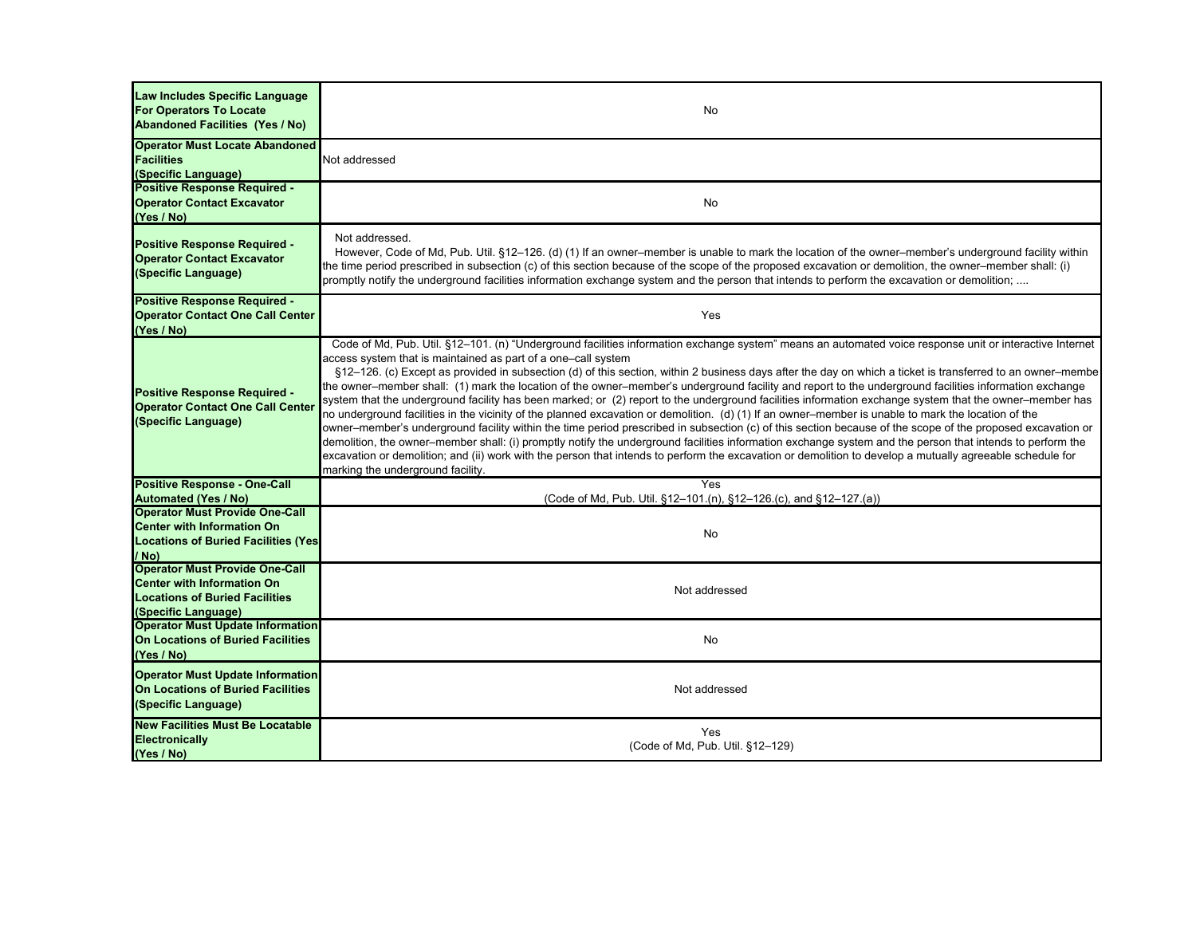| Law Includes Specific Language<br><b>For Operators To Locate</b><br><b>Abandoned Facilities (Yes / No)</b>                                 | No                                                                                                                                                                                                                                                                                                                                                                                                                                                                                                                                                                                                                                                                                                                                                                                                                                                                                                                                                                                                                                                                                                                                                                                                                                                                                                                                                                                              |
|--------------------------------------------------------------------------------------------------------------------------------------------|-------------------------------------------------------------------------------------------------------------------------------------------------------------------------------------------------------------------------------------------------------------------------------------------------------------------------------------------------------------------------------------------------------------------------------------------------------------------------------------------------------------------------------------------------------------------------------------------------------------------------------------------------------------------------------------------------------------------------------------------------------------------------------------------------------------------------------------------------------------------------------------------------------------------------------------------------------------------------------------------------------------------------------------------------------------------------------------------------------------------------------------------------------------------------------------------------------------------------------------------------------------------------------------------------------------------------------------------------------------------------------------------------|
| <b>Operator Must Locate Abandoned</b><br><b>Facilities</b><br>(Specific Language)                                                          | Not addressed                                                                                                                                                                                                                                                                                                                                                                                                                                                                                                                                                                                                                                                                                                                                                                                                                                                                                                                                                                                                                                                                                                                                                                                                                                                                                                                                                                                   |
| <b>Positive Response Required -</b><br><b>Operator Contact Excavator</b><br>(Yes / No)                                                     | No                                                                                                                                                                                                                                                                                                                                                                                                                                                                                                                                                                                                                                                                                                                                                                                                                                                                                                                                                                                                                                                                                                                                                                                                                                                                                                                                                                                              |
| Positive Response Required -<br><b>Operator Contact Excavator</b><br>(Specific Language)                                                   | Not addressed.<br>However, Code of Md, Pub. Util. §12–126. (d) (1) If an owner–member is unable to mark the location of the owner–member's underground facility within<br>the time period prescribed in subsection (c) of this section because of the scope of the proposed excavation or demolition, the owner-member shall: (i)<br>promptly notify the underground facilities information exchange system and the person that intends to perform the excavation or demolition;                                                                                                                                                                                                                                                                                                                                                                                                                                                                                                                                                                                                                                                                                                                                                                                                                                                                                                                |
| <b>Positive Response Required -</b><br><b>Operator Contact One Call Center</b><br>(Yes / No)                                               | Yes                                                                                                                                                                                                                                                                                                                                                                                                                                                                                                                                                                                                                                                                                                                                                                                                                                                                                                                                                                                                                                                                                                                                                                                                                                                                                                                                                                                             |
| Positive Response Required -<br><b>Operator Contact One Call Center</b><br>(Specific Language)                                             | Code of Md, Pub. Util. §12-101. (n) "Underground facilities information exchange system" means an automated voice response unit or interactive Internet<br>access system that is maintained as part of a one–call system<br>§12-126. (c) Except as provided in subsection (d) of this section, within 2 business days after the day on which a ticket is transferred to an owner–membe<br>the owner–member shall: (1) mark the location of the owner–member's underground facility and report to the underground facilities information exchange<br>system that the underground facility has been marked; or (2) report to the underground facilities information exchange system that the owner–member has<br>no underground facilities in the vicinity of the planned excavation or demolition. (d) (1) If an owner–member is unable to mark the location of the<br>owner–member's underground facility within the time period prescribed in subsection (c) of this section because of the scope of the proposed excavation or<br>demolition, the owner–member shall: (i) promptly notify the underground facilities information exchange system and the person that intends to perform the<br>excavation or demolition; and (ii) work with the person that intends to perform the excavation or demolition to develop a mutually agreeable schedule for<br>marking the underground facility. |
| <b>Positive Response - One-Call</b>                                                                                                        | Yes                                                                                                                                                                                                                                                                                                                                                                                                                                                                                                                                                                                                                                                                                                                                                                                                                                                                                                                                                                                                                                                                                                                                                                                                                                                                                                                                                                                             |
| <b>Automated (Yes / No)</b>                                                                                                                | (Code of Md, Pub. Util. §12-101.(n), §12-126.(c), and §12-127.(a))                                                                                                                                                                                                                                                                                                                                                                                                                                                                                                                                                                                                                                                                                                                                                                                                                                                                                                                                                                                                                                                                                                                                                                                                                                                                                                                              |
| <b>Operator Must Provide One-Call</b><br><b>Center with Information On</b><br><b>Locations of Buried Facilities (Yes)</b><br>/ No)         | <b>No</b>                                                                                                                                                                                                                                                                                                                                                                                                                                                                                                                                                                                                                                                                                                                                                                                                                                                                                                                                                                                                                                                                                                                                                                                                                                                                                                                                                                                       |
| <b>Operator Must Provide One-Call</b><br><b>Center with Information On</b><br><b>Locations of Buried Facilities</b><br>(Specific Language) | Not addressed                                                                                                                                                                                                                                                                                                                                                                                                                                                                                                                                                                                                                                                                                                                                                                                                                                                                                                                                                                                                                                                                                                                                                                                                                                                                                                                                                                                   |
| <b>Operator Must Update Information</b><br><b>On Locations of Buried Facilities</b><br>(Yes / No)                                          | No                                                                                                                                                                                                                                                                                                                                                                                                                                                                                                                                                                                                                                                                                                                                                                                                                                                                                                                                                                                                                                                                                                                                                                                                                                                                                                                                                                                              |
| <b>Operator Must Update Information</b><br>On Locations of Buried Facilities<br>(Specific Language)                                        | Not addressed                                                                                                                                                                                                                                                                                                                                                                                                                                                                                                                                                                                                                                                                                                                                                                                                                                                                                                                                                                                                                                                                                                                                                                                                                                                                                                                                                                                   |
| <b>New Facilities Must Be Locatable</b><br>Electronically<br>(Yes / No)                                                                    | Yes<br>(Code of Md, Pub. Util. §12-129)                                                                                                                                                                                                                                                                                                                                                                                                                                                                                                                                                                                                                                                                                                                                                                                                                                                                                                                                                                                                                                                                                                                                                                                                                                                                                                                                                         |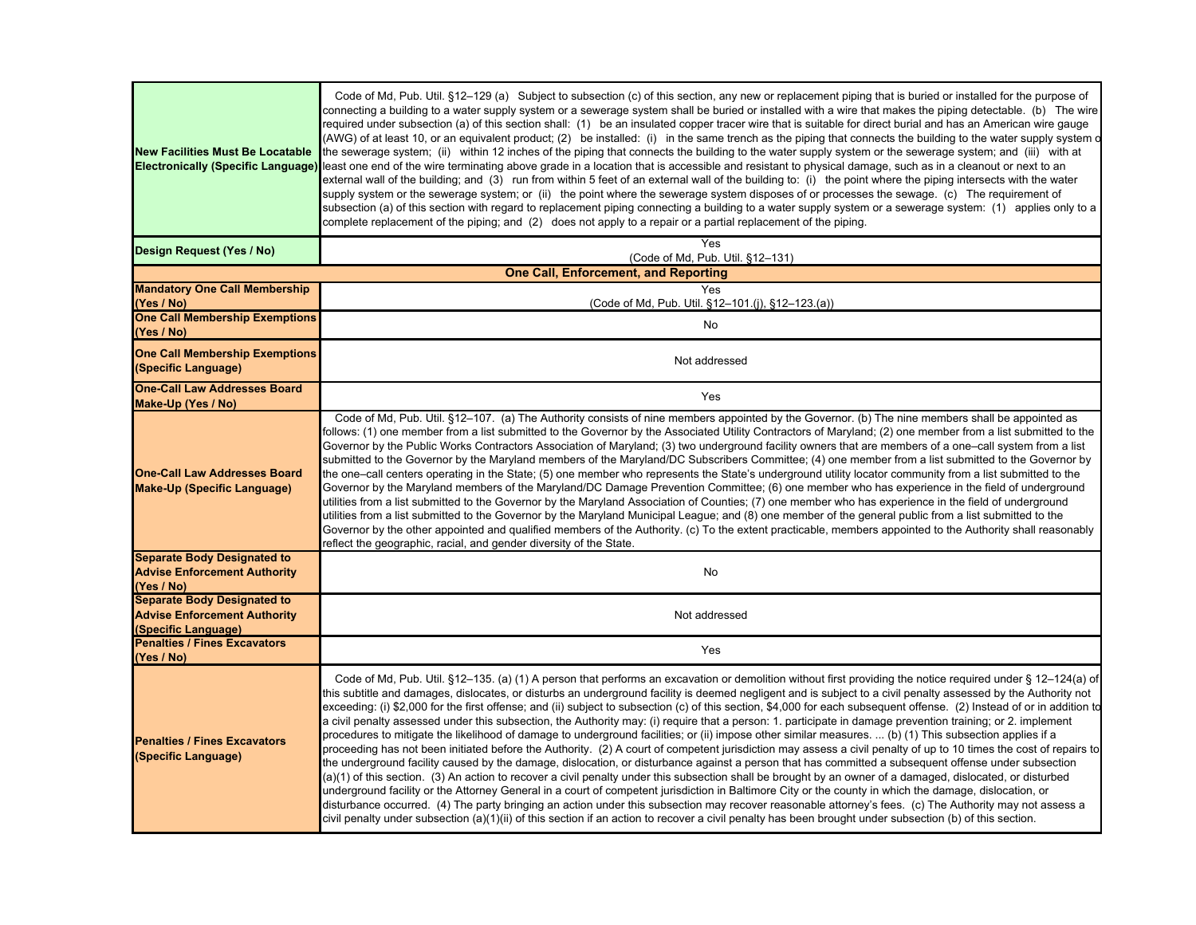| <b>New Facilities Must Be Locatable</b><br><b>Electronically (Specific Language)</b>             | Code of Md, Pub. Util. §12–129 (a) Subject to subsection (c) of this section, any new or replacement piping that is buried or installed for the purpose of<br>connecting a building to a water supply system or a sewerage system shall be buried or installed with a wire that makes the piping detectable. (b) The wire<br>required under subsection (a) of this section shall: (1) be an insulated copper tracer wire that is suitable for direct burial and has an American wire gauge<br>(AWG) of at least 10, or an equivalent product; (2) be installed: (i) in the same trench as the piping that connects the building to the water supply system of<br>the sewerage system; (ii) within 12 inches of the piping that connects the building to the water supply system or the sewerage system; and (iii) with at<br>least one end of the wire terminating above grade in a location that is accessible and resistant to physical damage, such as in a cleanout or next to an<br>external wall of the building; and (3) run from within 5 feet of an external wall of the building to: (i) the point where the piping intersects with the water<br>supply system or the sewerage system; or (ii) the point where the sewerage system disposes of or processes the sewage. (c) The requirement of<br>subsection (a) of this section with regard to replacement piping connecting a building to a water supply system or a sewerage system: (1) applies only to a<br>complete replacement of the piping; and (2) does not apply to a repair or a partial replacement of the piping.                                                                                                                                                                                                                      |
|--------------------------------------------------------------------------------------------------|----------------------------------------------------------------------------------------------------------------------------------------------------------------------------------------------------------------------------------------------------------------------------------------------------------------------------------------------------------------------------------------------------------------------------------------------------------------------------------------------------------------------------------------------------------------------------------------------------------------------------------------------------------------------------------------------------------------------------------------------------------------------------------------------------------------------------------------------------------------------------------------------------------------------------------------------------------------------------------------------------------------------------------------------------------------------------------------------------------------------------------------------------------------------------------------------------------------------------------------------------------------------------------------------------------------------------------------------------------------------------------------------------------------------------------------------------------------------------------------------------------------------------------------------------------------------------------------------------------------------------------------------------------------------------------------------------------------------------------------------------------------------------------------------------------------|
| Design Request (Yes / No)                                                                        | Yes<br>(Code of Md, Pub. Util. §12-131)                                                                                                                                                                                                                                                                                                                                                                                                                                                                                                                                                                                                                                                                                                                                                                                                                                                                                                                                                                                                                                                                                                                                                                                                                                                                                                                                                                                                                                                                                                                                                                                                                                                                                                                                                                        |
|                                                                                                  | <b>One Call, Enforcement, and Reporting</b>                                                                                                                                                                                                                                                                                                                                                                                                                                                                                                                                                                                                                                                                                                                                                                                                                                                                                                                                                                                                                                                                                                                                                                                                                                                                                                                                                                                                                                                                                                                                                                                                                                                                                                                                                                    |
| <b>Mandatory One Call Membership</b><br>(Yes / No)                                               | Yes<br>(Code of Md, Pub. Util. §12-101.(j), §12-123.(a))                                                                                                                                                                                                                                                                                                                                                                                                                                                                                                                                                                                                                                                                                                                                                                                                                                                                                                                                                                                                                                                                                                                                                                                                                                                                                                                                                                                                                                                                                                                                                                                                                                                                                                                                                       |
| <b>One Call Membership Exemptions</b><br>(Yes / No)                                              | No                                                                                                                                                                                                                                                                                                                                                                                                                                                                                                                                                                                                                                                                                                                                                                                                                                                                                                                                                                                                                                                                                                                                                                                                                                                                                                                                                                                                                                                                                                                                                                                                                                                                                                                                                                                                             |
| <b>One Call Membership Exemptions</b><br>(Specific Language)                                     | Not addressed                                                                                                                                                                                                                                                                                                                                                                                                                                                                                                                                                                                                                                                                                                                                                                                                                                                                                                                                                                                                                                                                                                                                                                                                                                                                                                                                                                                                                                                                                                                                                                                                                                                                                                                                                                                                  |
| <b>One-Call Law Addresses Board</b><br>Make-Up (Yes / No)                                        | Yes                                                                                                                                                                                                                                                                                                                                                                                                                                                                                                                                                                                                                                                                                                                                                                                                                                                                                                                                                                                                                                                                                                                                                                                                                                                                                                                                                                                                                                                                                                                                                                                                                                                                                                                                                                                                            |
| <b>One-Call Law Addresses Board</b><br><b>Make-Up (Specific Language)</b>                        | Code of Md, Pub. Util. §12-107. (a) The Authority consists of nine members appointed by the Governor. (b) The nine members shall be appointed as<br>follows: (1) one member from a list submitted to the Governor by the Associated Utility Contractors of Maryland; (2) one member from a list submitted to the<br>Governor by the Public Works Contractors Association of Maryland; (3) two underground facility owners that are members of a one-call system from a list<br>submitted to the Governor by the Maryland members of the Maryland/DC Subscribers Committee; (4) one member from a list submitted to the Governor by<br>the one-call centers operating in the State; (5) one member who represents the State's underground utility locator community from a list submitted to the<br>Governor by the Maryland members of the Maryland/DC Damage Prevention Committee; (6) one member who has experience in the field of underground<br>utilities from a list submitted to the Governor by the Maryland Association of Counties; (7) one member who has experience in the field of underground<br>utilities from a list submitted to the Governor by the Maryland Municipal League; and (8) one member of the general public from a list submitted to the<br>Governor by the other appointed and qualified members of the Authority. (c) To the extent practicable, members appointed to the Authority shall reasonably<br>reflect the geographic, racial, and gender diversity of the State.                                                                                                                                                                                                                                                                                                     |
| <b>Separate Body Designated to</b><br><b>Advise Enforcement Authority</b><br>(Yes / No)          | No                                                                                                                                                                                                                                                                                                                                                                                                                                                                                                                                                                                                                                                                                                                                                                                                                                                                                                                                                                                                                                                                                                                                                                                                                                                                                                                                                                                                                                                                                                                                                                                                                                                                                                                                                                                                             |
| <b>Separate Body Designated to</b><br><b>Advise Enforcement Authority</b><br>(Specific Language) | Not addressed                                                                                                                                                                                                                                                                                                                                                                                                                                                                                                                                                                                                                                                                                                                                                                                                                                                                                                                                                                                                                                                                                                                                                                                                                                                                                                                                                                                                                                                                                                                                                                                                                                                                                                                                                                                                  |
| <b>Penalties / Fines Excavators</b><br>(Yes / No)                                                | Yes                                                                                                                                                                                                                                                                                                                                                                                                                                                                                                                                                                                                                                                                                                                                                                                                                                                                                                                                                                                                                                                                                                                                                                                                                                                                                                                                                                                                                                                                                                                                                                                                                                                                                                                                                                                                            |
| <b>Penalties / Fines Excavators</b><br>(Specific Language)                                       | Code of Md, Pub. Util. §12-135. (a) (1) A person that performs an excavation or demolition without first providing the notice required under § 12-124(a) of<br>this subtitle and damages, dislocates, or disturbs an underground facility is deemed negligent and is subject to a civil penalty assessed by the Authority not<br>exceeding: (i) \$2,000 for the first offense; and (ii) subject to subsection (c) of this section, \$4,000 for each subsequent offense. (2) Instead of or in addition to<br>a civil penalty assessed under this subsection, the Authority may: (i) require that a person: 1. participate in damage prevention training; or 2. implement<br>procedures to mitigate the likelihood of damage to underground facilities; or (ii) impose other similar measures.  (b) (1) This subsection applies if a<br>proceeding has not been initiated before the Authority. (2) A court of competent jurisdiction may assess a civil penalty of up to 10 times the cost of repairs to<br>the underground facility caused by the damage, dislocation, or disturbance against a person that has committed a subsequent offense under subsection<br>(a)(1) of this section. (3) An action to recover a civil penalty under this subsection shall be brought by an owner of a damaged, dislocated, or disturbed<br>underground facility or the Attorney General in a court of competent jurisdiction in Baltimore City or the county in which the damage, dislocation, or<br>disturbance occurred. (4) The party bringing an action under this subsection may recover reasonable attorney's fees. (c) The Authority may not assess a<br>civil penalty under subsection (a)(1)(ii) of this section if an action to recover a civil penalty has been brought under subsection (b) of this section. |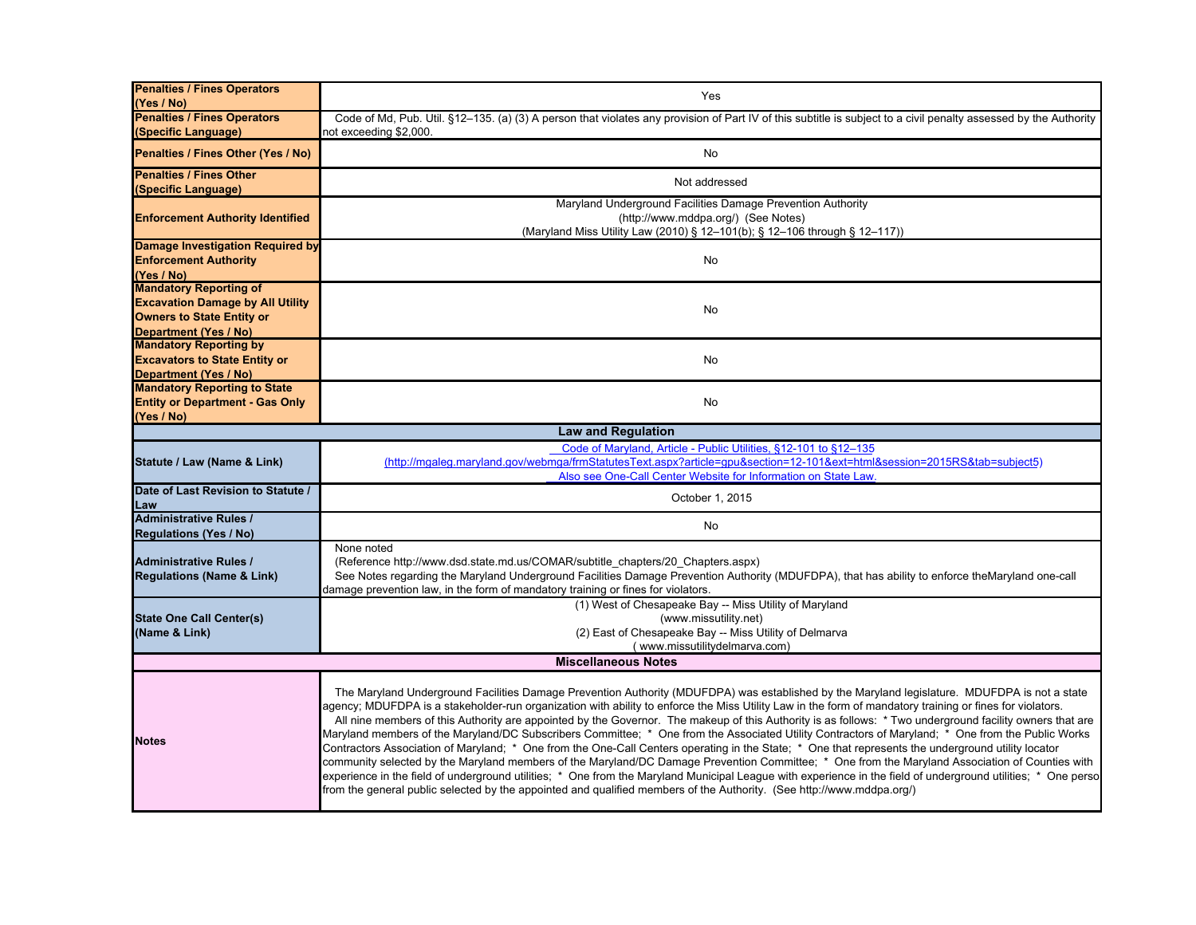| <b>Penalties / Fines Operators</b>      | Yes                                                                                                                                                                                                                                                                                                                                                                                                                                                                                                                                                                                                                                                                                                                                                                                                                                                                                                                                                                                                                                                                                                                                                                                                                           |
|-----------------------------------------|-------------------------------------------------------------------------------------------------------------------------------------------------------------------------------------------------------------------------------------------------------------------------------------------------------------------------------------------------------------------------------------------------------------------------------------------------------------------------------------------------------------------------------------------------------------------------------------------------------------------------------------------------------------------------------------------------------------------------------------------------------------------------------------------------------------------------------------------------------------------------------------------------------------------------------------------------------------------------------------------------------------------------------------------------------------------------------------------------------------------------------------------------------------------------------------------------------------------------------|
| (Yes / No)                              |                                                                                                                                                                                                                                                                                                                                                                                                                                                                                                                                                                                                                                                                                                                                                                                                                                                                                                                                                                                                                                                                                                                                                                                                                               |
| <b>Penalties / Fines Operators</b>      | Code of Md, Pub. Util. §12–135. (a) (3) A person that violates any provision of Part IV of this subtitle is subject to a civil penalty assessed by the Authority                                                                                                                                                                                                                                                                                                                                                                                                                                                                                                                                                                                                                                                                                                                                                                                                                                                                                                                                                                                                                                                              |
| (Specific Language)                     | not exceeding \$2,000.                                                                                                                                                                                                                                                                                                                                                                                                                                                                                                                                                                                                                                                                                                                                                                                                                                                                                                                                                                                                                                                                                                                                                                                                        |
| Penalties / Fines Other (Yes / No)      | <b>No</b>                                                                                                                                                                                                                                                                                                                                                                                                                                                                                                                                                                                                                                                                                                                                                                                                                                                                                                                                                                                                                                                                                                                                                                                                                     |
| <b>Penalties / Fines Other</b>          | Not addressed                                                                                                                                                                                                                                                                                                                                                                                                                                                                                                                                                                                                                                                                                                                                                                                                                                                                                                                                                                                                                                                                                                                                                                                                                 |
| (Specific Language)                     |                                                                                                                                                                                                                                                                                                                                                                                                                                                                                                                                                                                                                                                                                                                                                                                                                                                                                                                                                                                                                                                                                                                                                                                                                               |
|                                         | Maryland Underground Facilities Damage Prevention Authority                                                                                                                                                                                                                                                                                                                                                                                                                                                                                                                                                                                                                                                                                                                                                                                                                                                                                                                                                                                                                                                                                                                                                                   |
| <b>Enforcement Authority Identified</b> | (http://www.mddpa.org/) (See Notes)                                                                                                                                                                                                                                                                                                                                                                                                                                                                                                                                                                                                                                                                                                                                                                                                                                                                                                                                                                                                                                                                                                                                                                                           |
|                                         | (Maryland Miss Utility Law (2010) § 12-101(b); § 12-106 through § 12-117))                                                                                                                                                                                                                                                                                                                                                                                                                                                                                                                                                                                                                                                                                                                                                                                                                                                                                                                                                                                                                                                                                                                                                    |
| Damage Investigation Required by        |                                                                                                                                                                                                                                                                                                                                                                                                                                                                                                                                                                                                                                                                                                                                                                                                                                                                                                                                                                                                                                                                                                                                                                                                                               |
| <b>Enforcement Authority</b>            | No                                                                                                                                                                                                                                                                                                                                                                                                                                                                                                                                                                                                                                                                                                                                                                                                                                                                                                                                                                                                                                                                                                                                                                                                                            |
| (Yes / No)                              |                                                                                                                                                                                                                                                                                                                                                                                                                                                                                                                                                                                                                                                                                                                                                                                                                                                                                                                                                                                                                                                                                                                                                                                                                               |
| <b>Mandatory Reporting of</b>           |                                                                                                                                                                                                                                                                                                                                                                                                                                                                                                                                                                                                                                                                                                                                                                                                                                                                                                                                                                                                                                                                                                                                                                                                                               |
| <b>Excavation Damage by All Utility</b> | No                                                                                                                                                                                                                                                                                                                                                                                                                                                                                                                                                                                                                                                                                                                                                                                                                                                                                                                                                                                                                                                                                                                                                                                                                            |
| <b>Owners to State Entity or</b>        |                                                                                                                                                                                                                                                                                                                                                                                                                                                                                                                                                                                                                                                                                                                                                                                                                                                                                                                                                                                                                                                                                                                                                                                                                               |
| Department (Yes / No)                   |                                                                                                                                                                                                                                                                                                                                                                                                                                                                                                                                                                                                                                                                                                                                                                                                                                                                                                                                                                                                                                                                                                                                                                                                                               |
| <b>Mandatory Reporting by</b>           |                                                                                                                                                                                                                                                                                                                                                                                                                                                                                                                                                                                                                                                                                                                                                                                                                                                                                                                                                                                                                                                                                                                                                                                                                               |
| <b>Excavators to State Entity or</b>    | <b>No</b>                                                                                                                                                                                                                                                                                                                                                                                                                                                                                                                                                                                                                                                                                                                                                                                                                                                                                                                                                                                                                                                                                                                                                                                                                     |
| <b>Department (Yes / No)</b>            |                                                                                                                                                                                                                                                                                                                                                                                                                                                                                                                                                                                                                                                                                                                                                                                                                                                                                                                                                                                                                                                                                                                                                                                                                               |
| <b>Mandatory Reporting to State</b>     |                                                                                                                                                                                                                                                                                                                                                                                                                                                                                                                                                                                                                                                                                                                                                                                                                                                                                                                                                                                                                                                                                                                                                                                                                               |
| <b>Entity or Department - Gas Only</b>  | No                                                                                                                                                                                                                                                                                                                                                                                                                                                                                                                                                                                                                                                                                                                                                                                                                                                                                                                                                                                                                                                                                                                                                                                                                            |
| (Yes / No)                              |                                                                                                                                                                                                                                                                                                                                                                                                                                                                                                                                                                                                                                                                                                                                                                                                                                                                                                                                                                                                                                                                                                                                                                                                                               |
|                                         | <b>Law and Regulation</b>                                                                                                                                                                                                                                                                                                                                                                                                                                                                                                                                                                                                                                                                                                                                                                                                                                                                                                                                                                                                                                                                                                                                                                                                     |
|                                         | Code of Maryland, Article - Public Utilities, §12-101 to §12-135                                                                                                                                                                                                                                                                                                                                                                                                                                                                                                                                                                                                                                                                                                                                                                                                                                                                                                                                                                                                                                                                                                                                                              |
| Statute / Law (Name & Link)             | (http://mgaleg.maryland.gov/webmga/frmStatutesText.aspx?article=gpu&section=12-101&ext=html&session=2015RS&tab=subject5)                                                                                                                                                                                                                                                                                                                                                                                                                                                                                                                                                                                                                                                                                                                                                                                                                                                                                                                                                                                                                                                                                                      |
|                                         | Also see One-Call Center Website for Information on State Law.                                                                                                                                                                                                                                                                                                                                                                                                                                                                                                                                                                                                                                                                                                                                                                                                                                                                                                                                                                                                                                                                                                                                                                |
| Date of Last Revision to Statute /      | October 1, 2015                                                                                                                                                                                                                                                                                                                                                                                                                                                                                                                                                                                                                                                                                                                                                                                                                                                                                                                                                                                                                                                                                                                                                                                                               |
| Law                                     |                                                                                                                                                                                                                                                                                                                                                                                                                                                                                                                                                                                                                                                                                                                                                                                                                                                                                                                                                                                                                                                                                                                                                                                                                               |
| <b>Administrative Rules /</b>           | <b>No</b>                                                                                                                                                                                                                                                                                                                                                                                                                                                                                                                                                                                                                                                                                                                                                                                                                                                                                                                                                                                                                                                                                                                                                                                                                     |
| <b>Regulations (Yes / No)</b>           |                                                                                                                                                                                                                                                                                                                                                                                                                                                                                                                                                                                                                                                                                                                                                                                                                                                                                                                                                                                                                                                                                                                                                                                                                               |
|                                         | None noted                                                                                                                                                                                                                                                                                                                                                                                                                                                                                                                                                                                                                                                                                                                                                                                                                                                                                                                                                                                                                                                                                                                                                                                                                    |
| <b>Administrative Rules /</b>           | (Reference http://www.dsd.state.md.us/COMAR/subtitle chapters/20 Chapters.aspx)                                                                                                                                                                                                                                                                                                                                                                                                                                                                                                                                                                                                                                                                                                                                                                                                                                                                                                                                                                                                                                                                                                                                               |
| <b>Regulations (Name &amp; Link)</b>    | See Notes regarding the Maryland Underground Facilities Damage Prevention Authority (MDUFDPA), that has ability to enforce theMaryland one-call                                                                                                                                                                                                                                                                                                                                                                                                                                                                                                                                                                                                                                                                                                                                                                                                                                                                                                                                                                                                                                                                               |
|                                         | damage prevention law, in the form of mandatory training or fines for violators.                                                                                                                                                                                                                                                                                                                                                                                                                                                                                                                                                                                                                                                                                                                                                                                                                                                                                                                                                                                                                                                                                                                                              |
|                                         | (1) West of Chesapeake Bay -- Miss Utility of Maryland                                                                                                                                                                                                                                                                                                                                                                                                                                                                                                                                                                                                                                                                                                                                                                                                                                                                                                                                                                                                                                                                                                                                                                        |
| <b>State One Call Center(s)</b>         | (www.missutility.net)                                                                                                                                                                                                                                                                                                                                                                                                                                                                                                                                                                                                                                                                                                                                                                                                                                                                                                                                                                                                                                                                                                                                                                                                         |
| (Name & Link)                           | (2) East of Chesapeake Bay -- Miss Utility of Delmarva                                                                                                                                                                                                                                                                                                                                                                                                                                                                                                                                                                                                                                                                                                                                                                                                                                                                                                                                                                                                                                                                                                                                                                        |
|                                         | (www.missutilitydelmarva.com)                                                                                                                                                                                                                                                                                                                                                                                                                                                                                                                                                                                                                                                                                                                                                                                                                                                                                                                                                                                                                                                                                                                                                                                                 |
|                                         | <b>Miscellaneous Notes</b>                                                                                                                                                                                                                                                                                                                                                                                                                                                                                                                                                                                                                                                                                                                                                                                                                                                                                                                                                                                                                                                                                                                                                                                                    |
| <b>Notes</b>                            | The Maryland Underground Facilities Damage Prevention Authority (MDUFDPA) was established by the Maryland legislature. MDUFDPA is not a state<br>agency; MDUFDPA is a stakeholder-run organization with ability to enforce the Miss Utility Law in the form of mandatory training or fines for violators.<br>All nine members of this Authority are appointed by the Governor. The makeup of this Authority is as follows: * Two underground facility owners that are<br>Maryland members of the Maryland/DC Subscribers Committee; * One from the Associated Utility Contractors of Maryland; * One from the Public Works<br>Contractors Association of Maryland; * One from the One-Call Centers operating in the State; * One that represents the underground utility locator<br>community selected by the Maryland members of the Maryland/DC Damage Prevention Committee; * One from the Maryland Association of Counties with<br>experience in the field of underground utilities; * One from the Maryland Municipal League with experience in the field of underground utilities; * One perso<br>from the general public selected by the appointed and qualified members of the Authority. (See http://www.mddpa.org/) |